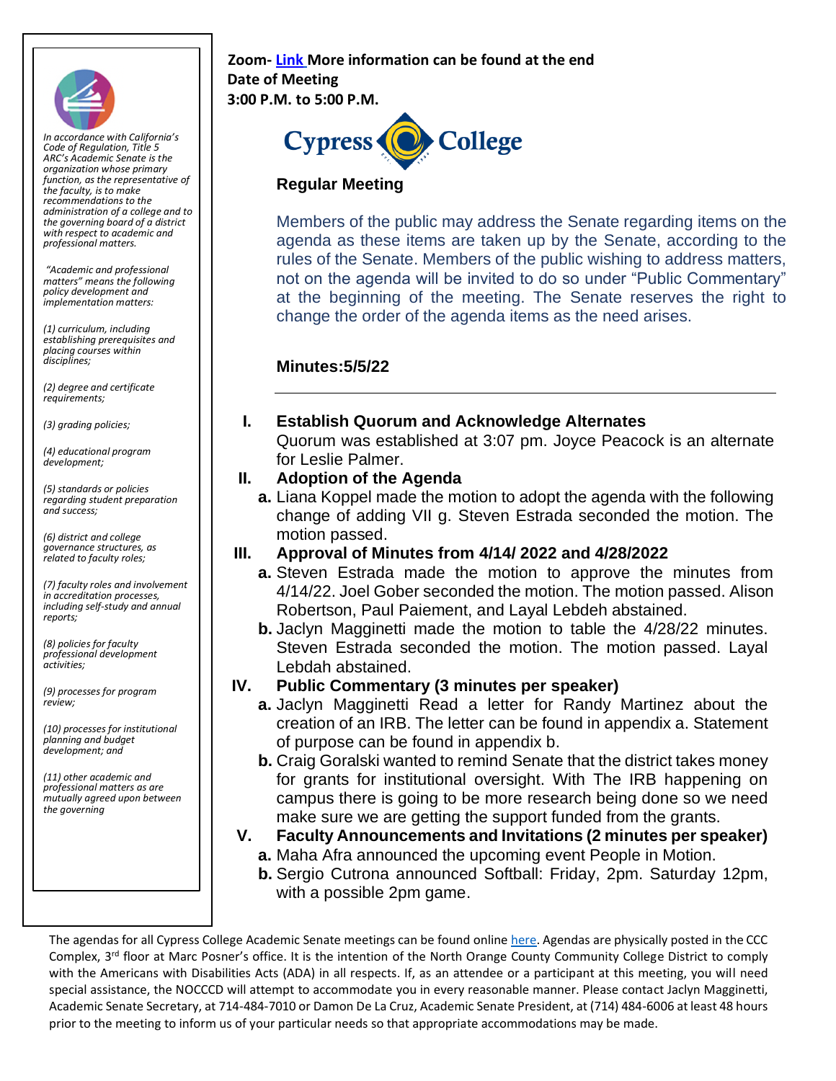

*In accordance with California's Code of Regulation, Title 5 ARC's Academic Senate is the organization whose primary function, as the representative of the faculty, is to make recommendations to the administration of a college and to the governing board of a district with respect to academic and professional matters.*

*"Academic and professional matters" means the following policy development and implementation matters:*

*(1) curriculum, including establishing prerequisites and placing courses within disciplines;* 

*(2) degree and certificate requirements;* 

*(3) grading policies;* 

*(4) educational program development;* 

*(5) standards or policies regarding student preparation and success;* 

*(6) district and college governance structures, as related to faculty roles;* 

*(7) faculty roles and involvement in accreditation processes, including self-study and annual reports;* 

*(8) policies for faculty professional development activities;* 

*(9) processes for program review;* 

*(10) processes for institutional planning and budget development; and* 

*(11) other academic and professional matters as are mutually agreed upon between the governing*

#### **Zoom[-](https://cypresscollege-edu.zoom.us/j/98305681363?pwd=akYwS3l0TjdkODFGRXN3QW9IZ3BEZz09) [Link](https://cypresscollege-edu.zoom.us/j/94505848930?pwd=ekNnSklNelUxODVteFRsTjFqT0VtQT09) More information can be found at the end Date of Meeting 3:00 P.M. to 5:00 P.M.**



## **Regular Meeting**

Members of the public may address the Senate regarding items on the agenda as these items are taken up by the Senate, according to the rules of the Senate. Members of the public wishing to address matters, not on the agenda will be invited to do so under "Public Commentary" at the beginning of the meeting. The Senate reserves the right to change the order of the agenda items as the need arises.

## **Minutes:5/5/22**

#### **I. Establish Quorum and Acknowledge Alternates**

Quorum was established at 3:07 pm. Joyce Peacock is an alternate for Leslie Palmer.

#### **II. Adoption of the Agenda**

**a.** Liana Koppel made the motion to adopt the agenda with the following change of adding VII g. Steven Estrada seconded the motion. The motion passed.

#### **III. Approval of Minutes from 4/14/ 2022 and 4/28/2022**

- **a.** Steven Estrada made the motion to approve the minutes from 4/14/22. Joel Gober seconded the motion. The motion passed. Alison Robertson, Paul Paiement, and Layal Lebdeh abstained.
- **b.** Jaclyn Magginetti made the motion to table the 4/28/22 minutes. Steven Estrada seconded the motion. The motion passed. Layal Lebdah abstained.

#### **IV. Public Commentary (3 minutes per speaker)**

- **a.** Jaclyn Magginetti Read a letter for Randy Martinez about the creation of an IRB. The letter can be found in appendix a. Statement of purpose can be found in appendix b.
- **b.** Craig Goralski wanted to remind Senate that the district takes money for grants for institutional oversight. With The IRB happening on campus there is going to be more research being done so we need make sure we are getting the support funded from the grants.
- **V. Faculty Announcements and Invitations (2 minutes per speaker)**
	- **a.** Maha Afra announced the upcoming event People in Motion.
	- **b.** Sergio Cutrona announced Softball: Friday, 2pm. Saturday 12pm, with a possible 2pm game.

The agendas for all Cypress College Academic Senate meetings can be found onlin[e](https://www.cypresscollege.edu/about/cypress-college-governance/academic-senate/agendas-and-minutes/) [here.](https://www.cypresscollege.edu/about/cypress-college-governance/academic-senate/agendas-and-minutes/) Agendas are physically posted in the CCC Complex, 3rd floor at Marc Posner's office. It is the intention of the North Orange County Community College District to comply with the Americans with Disabilities Acts (ADA) in all respects. If, as an attendee or a participant at this meeting, you will need special assistance, the NOCCCD will attempt to accommodate you in every reasonable manner. Please contact Jaclyn Magginetti, Academic Senate Secretary, at 714-484-7010 or Damon De La Cruz, Academic Senate President, at (714) 484-6006 at least 48 hours prior to the meeting to inform us of your particular needs so that appropriate accommodations may be made.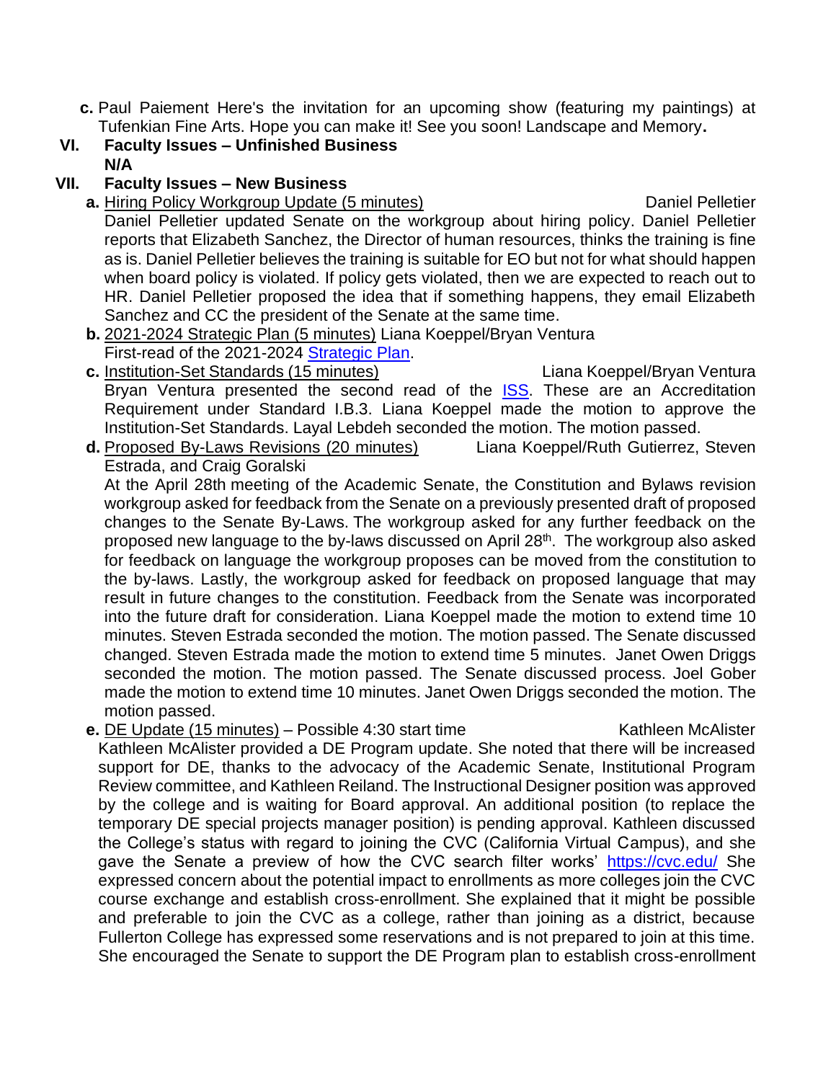**c.** Paul Paiement Here's the invitation for an upcoming show (featuring my paintings) at Tufenkian Fine Arts. Hope you can make it! See you soon! Landscape and Memory**.**

## **VI. Faculty Issues – Unfinished Business N/A**

#### **VII. Faculty Issues – New Business**

- **a.** Hiring Policy Workgroup Update (5 minutes) Daniel Pelletier Daniel Pelletier updated Senate on the workgroup about hiring policy. Daniel Pelletier reports that Elizabeth Sanchez, the Director of human resources, thinks the training is fine as is. Daniel Pelletier believes the training is suitable for EO but not for what should happen when board policy is violated. If policy gets violated, then we are expected to reach out to HR. Daniel Pelletier proposed the idea that if something happens, they email Elizabeth Sanchez and CC the president of the Senate at the same time.
- **b.** 2021-2024 Strategic Plan (5 minutes) Liana Koeppel/Bryan Ventura First-read of the 2021-2024 [Strategic Plan.](https://cypresscollege-my.sharepoint.com/:w:/g/personal/jmagginetti_cypresscollege_edu/EVGR6YfsjRpAiigXiI7GDo8B6_x1jBZD0gudzWUPbooFGg?e=FSSkmX)
- **c.** Institution-Set Standards (15 minutes) Liana Koeppel/Bryan Ventura Bryan Ventura presented the second read of the [ISS.](https://cypresscollege-my.sharepoint.com/:w:/g/personal/jmagginetti_cypresscollege_edu/EaJuHJJ6JbBCtMcJ7SCDJVcB-5Gzl7ro8r579q1Enl6P3w?e=8TziWa) These are an Accreditation Requirement under Standard I.B.3. Liana Koeppel made the motion to approve the Institution-Set Standards. Layal Lebdeh seconded the motion. The motion passed.
- **d.** Proposed By-Laws Revisions (20 minutes) Liana Koeppel/Ruth Gutierrez, Steven Estrada, and Craig Goralski At the April 28th meeting of the Academic Senate, the Constitution and Bylaws revision

workgroup asked for feedback from the Senate on a previously presented draft of proposed changes to the Senate By-Laws. The workgroup asked for any further feedback on the proposed new language to the by-laws discussed on April 28<sup>th</sup>. The workgroup also asked for feedback on language the workgroup proposes can be moved from the constitution to the by-laws. Lastly, the workgroup asked for feedback on proposed language that may result in future changes to the constitution. Feedback from the Senate was incorporated into the future draft for consideration. Liana Koeppel made the motion to extend time 10 minutes. Steven Estrada seconded the motion. The motion passed. The Senate discussed changed. Steven Estrada made the motion to extend time 5 minutes. Janet Owen Driggs seconded the motion. The motion passed. The Senate discussed process. Joel Gober made the motion to extend time 10 minutes. Janet Owen Driggs seconded the motion. The motion passed.

**e.** DE Update (15 minutes) – Possible 4:30 start time Kathleen McAlister

Kathleen McAlister provided a DE Program update. She noted that there will be increased support for DE, thanks to the advocacy of the Academic Senate, Institutional Program Review committee, and Kathleen Reiland. The Instructional Designer position was approved by the college and is waiting for Board approval. An additional position (to replace the temporary DE special projects manager position) is pending approval. Kathleen discussed the College's status with regard to joining the CVC (California Virtual Campus), and she gave the Senate a preview of how the CVC search filter works' <https://cvc.edu/> She expressed concern about the potential impact to enrollments as more colleges join the CVC course exchange and establish cross-enrollment. She explained that it might be possible and preferable to join the CVC as a college, rather than joining as a district, because Fullerton College has expressed some reservations and is not prepared to join at this time. She encouraged the Senate to support the DE Program plan to establish cross-enrollment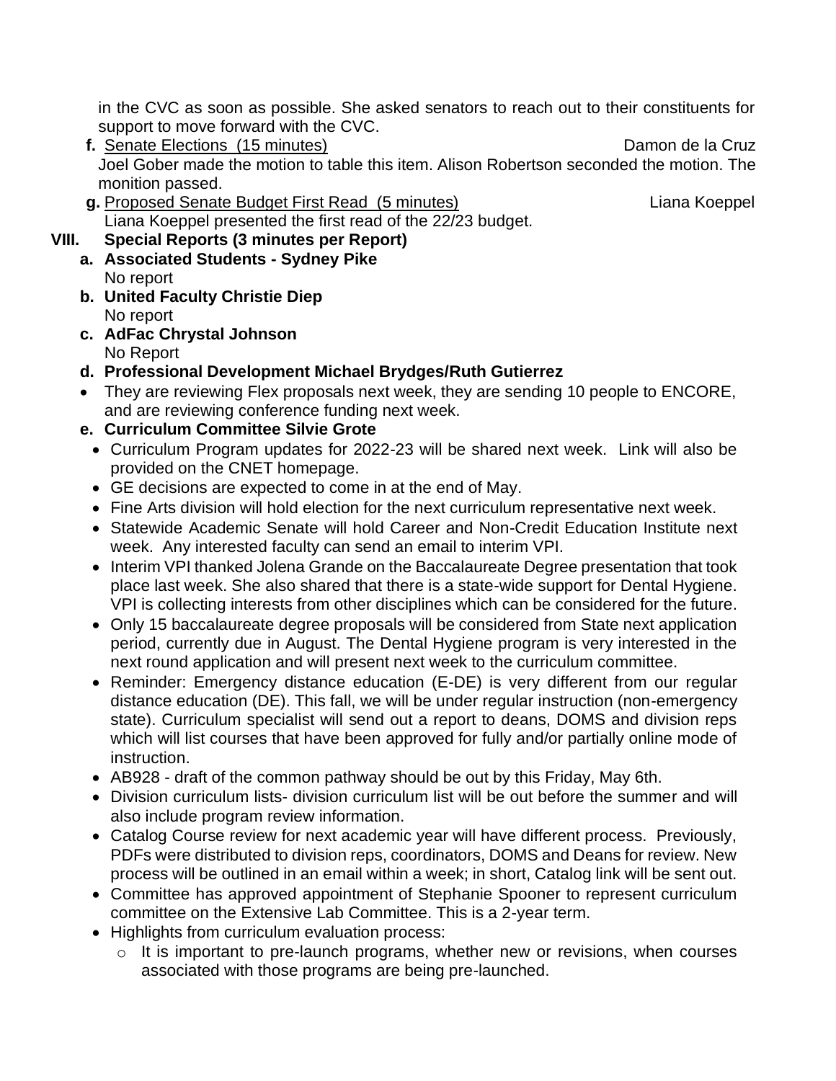in the CVC as soon as possible. She asked senators to reach out to their constituents for support to move forward with the CVC.

- **f.** Senate Elections (15 minutes) Damon de la Cruz Joel Gober made the motion to table this item. Alison Robertson seconded the motion. The monition passed.
- **g.** Proposed Senate Budget First Read (5 minutes) Liana Koeppel Liana Koeppel presented the first read of the 22/23 budget.

# **VIII. Special Reports (3 minutes per Report)**

- **a. Associated Students - Sydney Pike**  No report
- **b. United Faculty Christie Diep** No report
- **c. AdFac Chrystal Johnson** No Report
- **d. Professional Development Michael Brydges/Ruth Gutierrez**
- They are reviewing Flex proposals next week, they are sending 10 people to ENCORE, and are reviewing conference funding next week.

# **e. Curriculum Committee Silvie Grote**

- Curriculum Program updates for 2022-23 will be shared next week. Link will also be provided on the CNET homepage.
- GE decisions are expected to come in at the end of May.
- Fine Arts division will hold election for the next curriculum representative next week.
- Statewide Academic Senate will hold Career and Non-Credit Education Institute next week. Any interested faculty can send an email to interim VPI.
- Interim VPI thanked Jolena Grande on the Baccalaureate Degree presentation that took place last week. She also shared that there is a state-wide support for Dental Hygiene. VPI is collecting interests from other disciplines which can be considered for the future.
- Only 15 baccalaureate degree proposals will be considered from State next application period, currently due in August. The Dental Hygiene program is very interested in the next round application and will present next week to the curriculum committee.
- Reminder: Emergency distance education (E-DE) is very different from our regular distance education (DE). This fall, we will be under regular instruction (non-emergency state). Curriculum specialist will send out a report to deans, DOMS and division reps which will list courses that have been approved for fully and/or partially online mode of instruction.
- AB928 draft of the common pathway should be out by this Friday, May 6th.
- Division curriculum lists- division curriculum list will be out before the summer and will also include program review information.
- Catalog Course review for next academic year will have different process. Previously, PDFs were distributed to division reps, coordinators, DOMS and Deans for review. New process will be outlined in an email within a week; in short, Catalog link will be sent out.
- Committee has approved appointment of Stephanie Spooner to represent curriculum committee on the Extensive Lab Committee. This is a 2-year term.
- Highlights from curriculum evaluation process:
	- $\circ$  It is important to pre-launch programs, whether new or revisions, when courses associated with those programs are being pre-launched.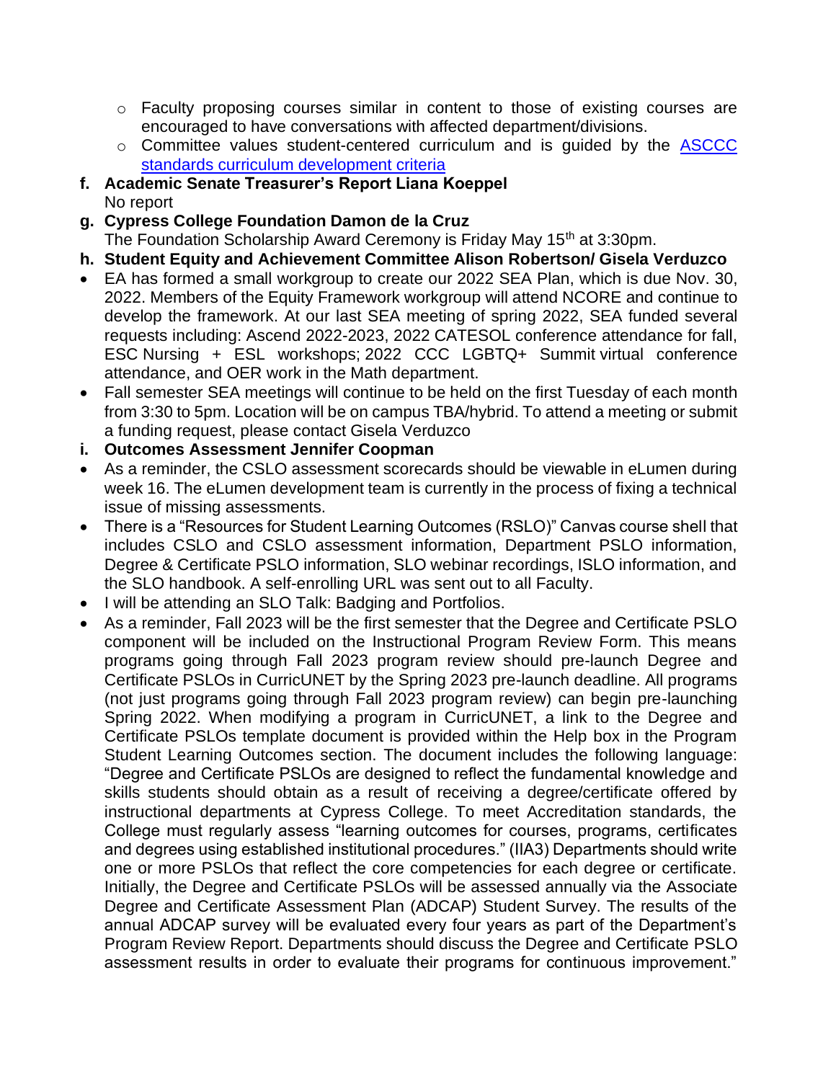- o Faculty proposing courses similar in content to those of existing courses are encouraged to have conversations with affected department/divisions.
- o Committee values student-centered curriculum and is guided by the [ASCCC](http://www.curricunet.com/Cypress/help/documents/Curriculum%20Training_F20.pdf)  [standards curriculum development criteria](http://www.curricunet.com/Cypress/help/documents/Curriculum%20Training_F20.pdf)
- **f. Academic Senate Treasurer's Report Liana Koeppel** No report
- **g. Cypress College Foundation Damon de la Cruz**

The Foundation Scholarship Award Ceremony is Friday May 15<sup>th</sup> at 3:30pm.

- **h. Student Equity and Achievement Committee Alison Robertson/ Gisela Verduzco**
- EA has formed a small workgroup to create our 2022 SEA Plan, which is due Nov. 30, 2022. Members of the Equity Framework workgroup will attend NCORE and continue to develop the framework. At our last SEA meeting of spring 2022, SEA funded several requests including: Ascend 2022-2023, 2022 CATESOL conference attendance for fall, ESC Nursing + ESL workshops; 2022 CCC LGBTQ+ Summit virtual conference attendance, and OER work in the Math department.
- Fall semester SEA meetings will continue to be held on the first Tuesday of each month from 3:30 to 5pm. Location will be on campus TBA/hybrid. To attend a meeting or submit a funding request, please contact Gisela Verduzco

## **i. Outcomes Assessment Jennifer Coopman**

- As a reminder, the CSLO assessment scorecards should be viewable in eLumen during week 16. The eLumen development team is currently in the process of fixing a technical issue of missing assessments.
- There is a "Resources for Student Learning Outcomes (RSLO)" Canvas course shell that includes CSLO and CSLO assessment information, Department PSLO information, Degree & Certificate PSLO information, SLO webinar recordings, ISLO information, and the SLO handbook. A self-enrolling URL was sent out to all Faculty.
- I will be attending an SLO Talk: Badging and Portfolios.
- As a reminder, Fall 2023 will be the first semester that the Degree and Certificate PSLO component will be included on the Instructional Program Review Form. This means programs going through Fall 2023 program review should pre-launch Degree and Certificate PSLOs in CurricUNET by the Spring 2023 pre-launch deadline. All programs (not just programs going through Fall 2023 program review) can begin pre-launching Spring 2022. When modifying a program in CurricUNET, a link to the Degree and Certificate PSLOs template document is provided within the Help box in the Program Student Learning Outcomes section. The document includes the following language: "Degree and Certificate PSLOs are designed to reflect the fundamental knowledge and skills students should obtain as a result of receiving a degree/certificate offered by instructional departments at Cypress College. To meet Accreditation standards, the College must regularly assess "learning outcomes for courses, programs, certificates and degrees using established institutional procedures." (IIA3) Departments should write one or more PSLOs that reflect the core competencies for each degree or certificate. Initially, the Degree and Certificate PSLOs will be assessed annually via the Associate Degree and Certificate Assessment Plan (ADCAP) Student Survey. The results of the annual ADCAP survey will be evaluated every four years as part of the Department's Program Review Report. Departments should discuss the Degree and Certificate PSLO assessment results in order to evaluate their programs for continuous improvement."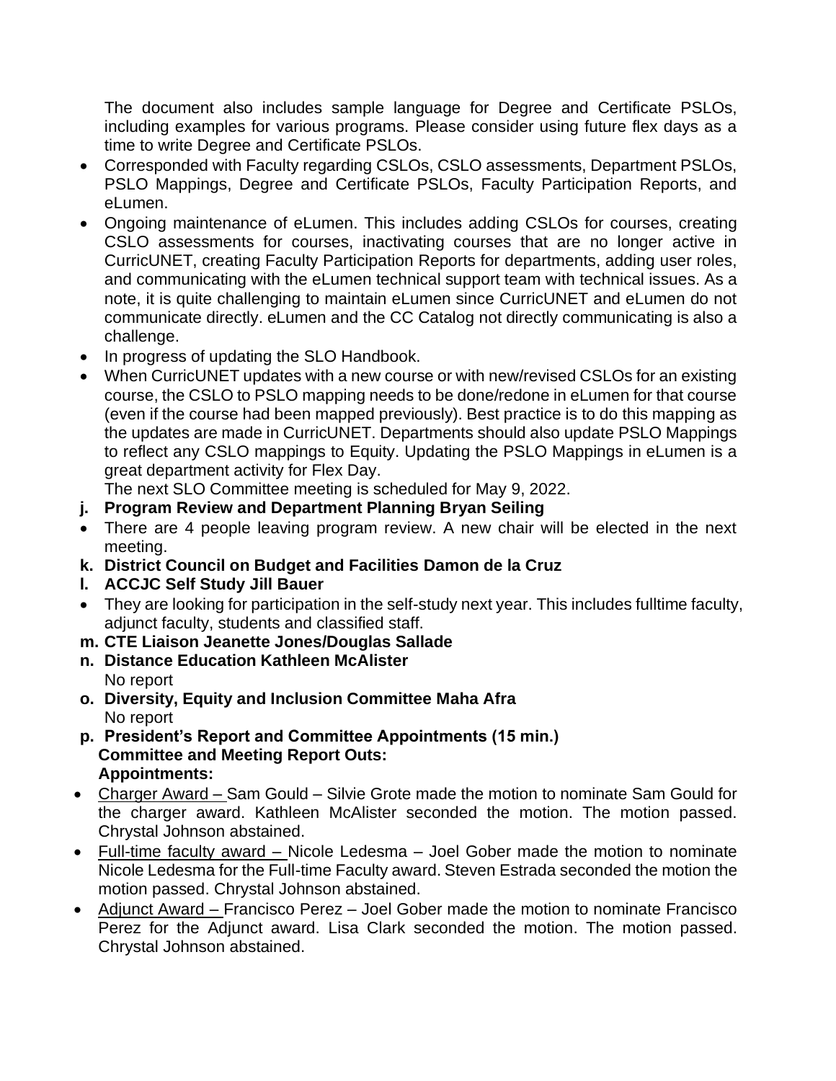The document also includes sample language for Degree and Certificate PSLOs, including examples for various programs. Please consider using future flex days as a time to write Degree and Certificate PSLOs.

- Corresponded with Faculty regarding CSLOs, CSLO assessments, Department PSLOs, PSLO Mappings, Degree and Certificate PSLOs, Faculty Participation Reports, and eLumen.
- Ongoing maintenance of eLumen. This includes adding CSLOs for courses, creating CSLO assessments for courses, inactivating courses that are no longer active in CurricUNET, creating Faculty Participation Reports for departments, adding user roles, and communicating with the eLumen technical support team with technical issues. As a note, it is quite challenging to maintain eLumen since CurricUNET and eLumen do not communicate directly. eLumen and the CC Catalog not directly communicating is also a challenge.
- In progress of updating the SLO Handbook.
- When CurricUNET updates with a new course or with new/revised CSLOs for an existing course, the CSLO to PSLO mapping needs to be done/redone in eLumen for that course (even if the course had been mapped previously). Best practice is to do this mapping as the updates are made in CurricUNET. Departments should also update PSLO Mappings to reflect any CSLO mappings to Equity. Updating the PSLO Mappings in eLumen is a great department activity for Flex Day.

The next SLO Committee meeting is scheduled for May 9, 2022.

- **j. Program Review and Department Planning Bryan Seiling**
- There are 4 people leaving program review. A new chair will be elected in the next meeting.
- **k. District Council on Budget and Facilities Damon de la Cruz**
- **l. ACCJC Self Study Jill Bauer**
- They are looking for participation in the self-study next year. This includes fulltime faculty, adjunct faculty, students and classified staff.
- **m. CTE Liaison Jeanette Jones/Douglas Sallade**
- **n. Distance Education Kathleen McAlister** No report
- **o. Diversity, Equity and Inclusion Committee Maha Afra** No report
- **p. President's Report and Committee Appointments (15 min.) Committee and Meeting Report Outs: Appointments:**
- Charger Award Sam Gould Silvie Grote made the motion to nominate Sam Gould for the charger award. Kathleen McAlister seconded the motion. The motion passed. Chrystal Johnson abstained.
- Full-time faculty award Nicole Ledesma Joel Gober made the motion to nominate Nicole Ledesma for the Full-time Faculty award. Steven Estrada seconded the motion the motion passed. Chrystal Johnson abstained.
- Adjunct Award Francisco Perez Joel Gober made the motion to nominate Francisco Perez for the Adjunct award. Lisa Clark seconded the motion. The motion passed. Chrystal Johnson abstained.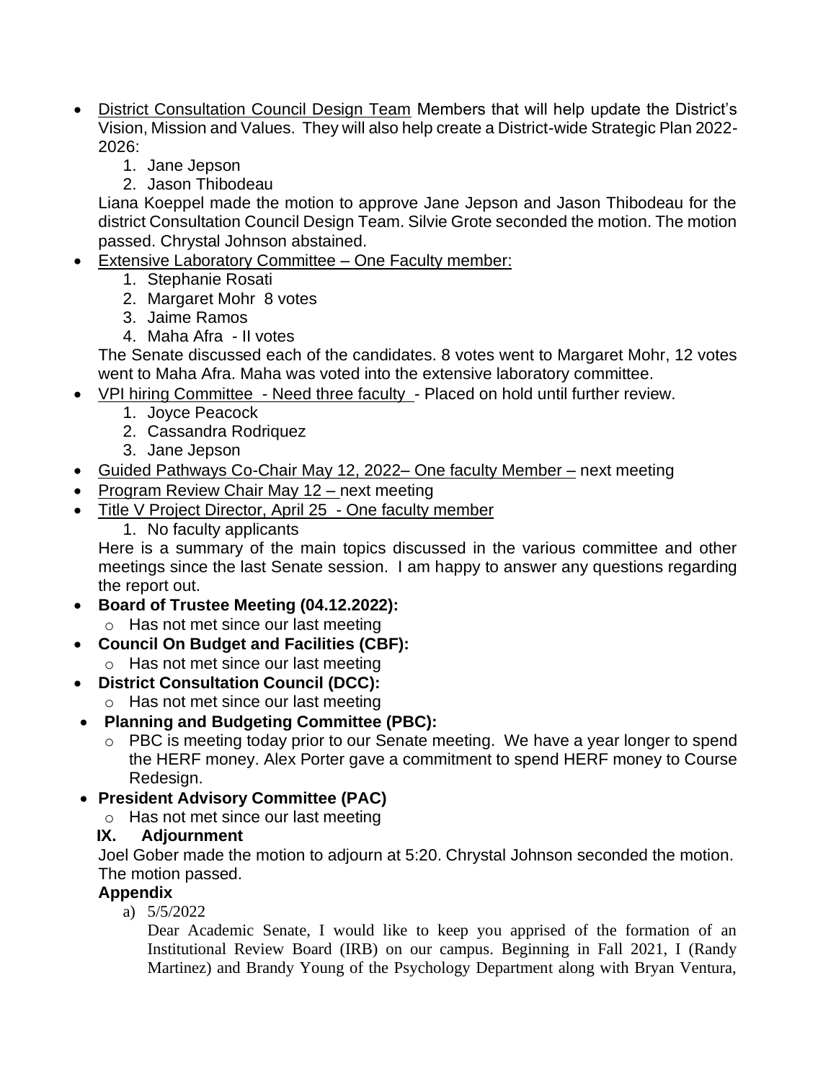- District Consultation Council Design Team Members that will help update the District's Vision, Mission and Values. They will also help create a District-wide Strategic Plan 2022- 2026:
	- 1. Jane Jepson
	- 2. Jason Thibodeau

Liana Koeppel made the motion to approve Jane Jepson and Jason Thibodeau for the district Consultation Council Design Team. Silvie Grote seconded the motion. The motion passed. Chrystal Johnson abstained.

- Extensive Laboratory Committee One Faculty member:
	- 1. Stephanie Rosati
	- 2. Margaret Mohr 8 votes
	- 3. Jaime Ramos
	- 4. Maha Afra II votes

The Senate discussed each of the candidates. 8 votes went to Margaret Mohr, 12 votes went to Maha Afra. Maha was voted into the extensive laboratory committee.

- VPI hiring Committee Need three faculty Placed on hold until further review.
	- 1. Joyce Peacock
	- 2. Cassandra Rodriquez
	- 3. Jane Jepson
- Guided Pathways Co-Chair May 12, 2022– One faculty Member next meeting
- Program Review Chair May 12 next meeting
- Title V Project Director, April 25 One faculty member
	- 1. No faculty applicants

Here is a summary of the main topics discussed in the various committee and other meetings since the last Senate session. I am happy to answer any questions regarding the report out.

- **Board of Trustee Meeting (04.12.2022):** 
	- o Has not met since our last meeting
- **Council On Budget and Facilities (CBF):** 
	- o Has not met since our last meeting
- **District Consultation Council (DCC):** 
	- o Has not met since our last meeting
- **Planning and Budgeting Committee (PBC):**
	- o PBC is meeting today prior to our Senate meeting. We have a year longer to spend the HERF money. Alex Porter gave a commitment to spend HERF money to Course Redesign.
- **President Advisory Committee (PAC)**
	- o Has not met since our last meeting
	- **IX. Adjournment**

Joel Gober made the motion to adjourn at 5:20. Chrystal Johnson seconded the motion. The motion passed.

## **Appendix**

a) 5/5/2022

Dear Academic Senate, I would like to keep you apprised of the formation of an Institutional Review Board (IRB) on our campus. Beginning in Fall 2021, I (Randy Martinez) and Brandy Young of the Psychology Department along with Bryan Ventura,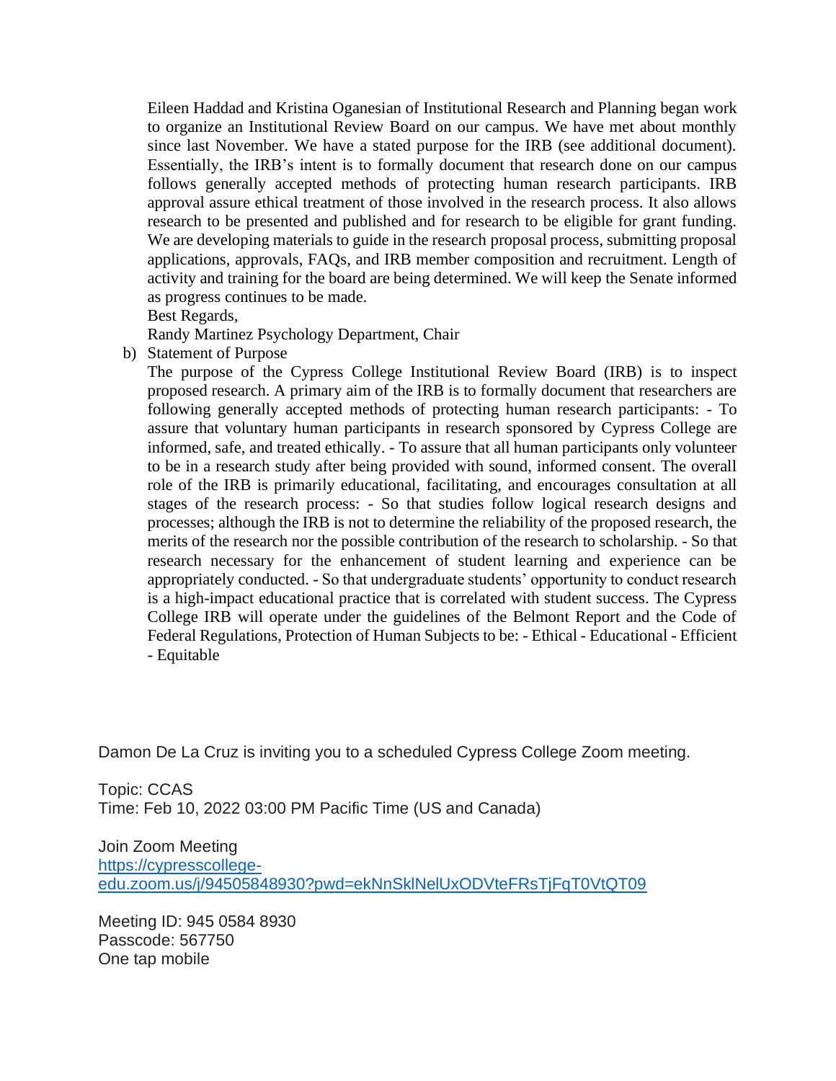Eileen Haddad and Kristina Oganesian of Institutional Research and Planning began work to organize an Institutional Review Board on our campus. We have met about monthly since last November. We have a stated purpose for the IRB (see additional document). Essentially, the IRB's intent is to formally document that research done on our campus follows generally accepted methods of protecting human research participants. IRB approval assure ethical treatment of those involved in the research process. It also allows research to be presented and published and for research to be eligible for grant funding. We are developing materials to guide in the research proposal process, submitting proposal applications, approvals, FAQs, and IRB member composition and recruitment. Length of activity and training for the board are being determined. We will keep the Senate informed as progress continues to be made.

Best Regards,

Randy Martinez Psychology Department, Chair

b) Statement of Purpose

The purpose of the Cypress College Institutional Review Board (IRB) is to inspect proposed research. A primary aim of the IRB is to formally document that researchers are following generally accepted methods of protecting human research participants: - To assure that voluntary human participants in research sponsored by Cypress College are informed, safe, and treated ethically. - To assure that all human participants only volunteer to be in a research study after being provided with sound, informed consent. The overall role of the IRB is primarily educational, facilitating, and encourages consultation at all stages of the research process: - So that studies follow logical research designs and processes; although the IRB is not to determine the reliability of the proposed research, the merits of the research nor the possible contribution of the research to scholarship. - So that research necessary for the enhancement of student learning and experience can be appropriately conducted. - So that undergraduate students' opportunity to conduct research is a high-impact educational practice that is correlated with student success. The Cypress College IRB will operate under the guidelines of the Belmont Report and the Code of Federal Regulations, Protection of Human Subjects to be: - Ethical - Educational - Efficient - Equitable

Damon De La Cruz is inviting you to a scheduled Cypress College Zoom meeting.

Topic: CCAS Time: Feb 10, 2022 03:00 PM Pacific Time (US and Canada)

Join Zoom Meeting [https://cypresscollege](https://nam10.safelinks.protection.outlook.com/?url=https%3A%2F%2Fcypresscollege-edu.zoom.us%2Fj%2F94505848930%3Fpwd%3DekNnSklNelUxODVteFRsTjFqT0VtQT09&data=04%7C01%7Cjmagginetti%40cypresscollege.edu%7C816878f1e32c4729664c08d9ea92d209%7C7b69ea2875f3494c8a21913b138337f8%7C0%7C0%7C637798738585124901%7CUnknown%7CTWFpbGZsb3d8eyJWIjoiMC4wLjAwMDAiLCJQIjoiV2luMzIiLCJBTiI6Ik1haWwiLCJXVCI6Mn0%3D%7C3000&sdata=kRxoqq7z5ZcIn83BiUDw21mo0OF3jNjzv1BVzhcoXFg%3D&reserved=0)[edu.zoom.us/j/94505848930?pwd=ekNnSklNelUxODVteFRsTjFqT0VtQT09](https://nam10.safelinks.protection.outlook.com/?url=https%3A%2F%2Fcypresscollege-edu.zoom.us%2Fj%2F94505848930%3Fpwd%3DekNnSklNelUxODVteFRsTjFqT0VtQT09&data=04%7C01%7Cjmagginetti%40cypresscollege.edu%7C816878f1e32c4729664c08d9ea92d209%7C7b69ea2875f3494c8a21913b138337f8%7C0%7C0%7C637798738585124901%7CUnknown%7CTWFpbGZsb3d8eyJWIjoiMC4wLjAwMDAiLCJQIjoiV2luMzIiLCJBTiI6Ik1haWwiLCJXVCI6Mn0%3D%7C3000&sdata=kRxoqq7z5ZcIn83BiUDw21mo0OF3jNjzv1BVzhcoXFg%3D&reserved=0)

Meeting ID: 945 0584 8930 Passcode: 567750 One tap mobile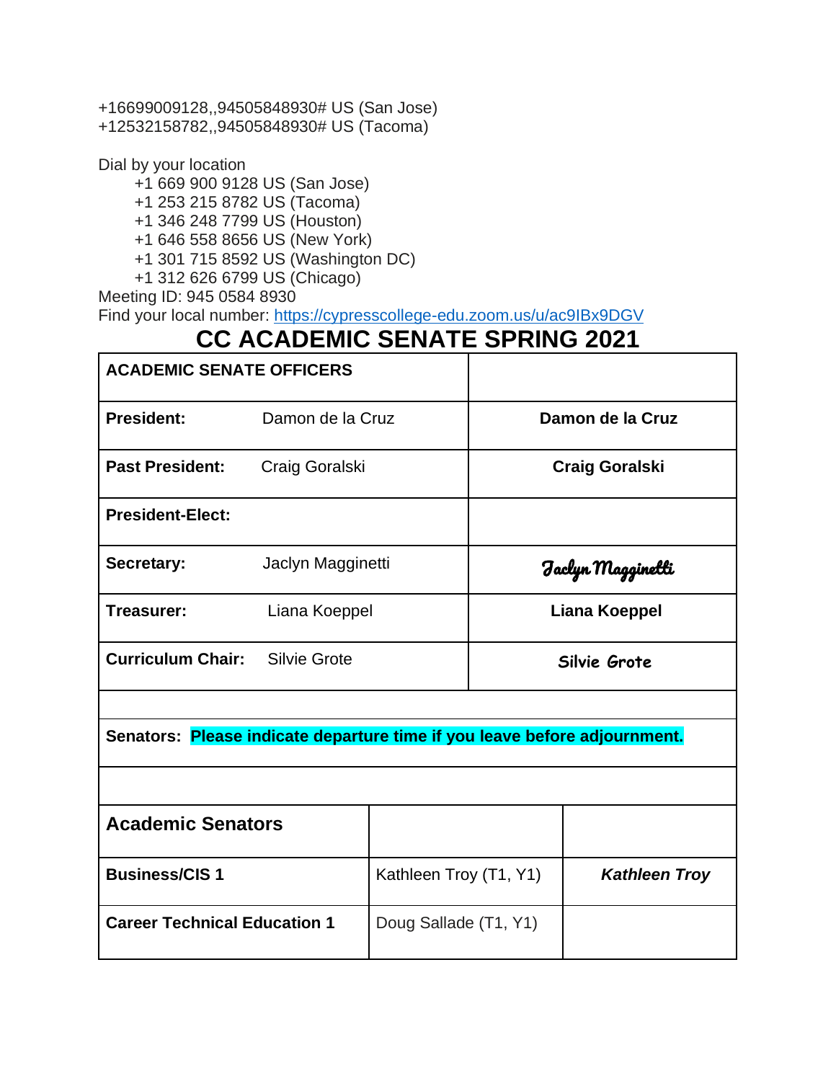+16699009128,,94505848930# US (San Jose) +12532158782,,94505848930# US (Tacoma)

Dial by your location

+1 669 900 9128 US (San Jose)

+1 253 215 8782 US (Tacoma)

+1 346 248 7799 US (Houston)

+1 646 558 8656 US (New York)

+1 301 715 8592 US (Washington DC)

+1 312 626 6799 US (Chicago)

Meeting ID: 945 0584 8930

Find your local number: [https://cypresscollege-edu.zoom.us/u/ac9IBx9DGV](https://nam10.safelinks.protection.outlook.com/?url=https%3A%2F%2Fcypresscollege-edu.zoom.us%2Fu%2Fac9IBx9DGV&data=04%7C01%7Cjmagginetti%40cypresscollege.edu%7C816878f1e32c4729664c08d9ea92d209%7C7b69ea2875f3494c8a21913b138337f8%7C0%7C0%7C637798738585124901%7CUnknown%7CTWFpbGZsb3d8eyJWIjoiMC4wLjAwMDAiLCJQIjoiV2luMzIiLCJBTiI6Ik1haWwiLCJXVCI6Mn0%3D%7C3000&sdata=teveHz2%2FOLZnT%2FFVM%2Byl%2FLNChxWNeHyeIymCWHTZIUA%3D&reserved=0)

# **CC ACADEMIC SENATE SPRING 2021**

| <b>ACADEMIC SENATE OFFICERS</b>                                           |                   |                        |                                |                      |  |  |
|---------------------------------------------------------------------------|-------------------|------------------------|--------------------------------|----------------------|--|--|
| <b>President:</b>                                                         | Damon de la Cruz  |                        | Damon de la Cruz               |                      |  |  |
| <b>Past President:</b>                                                    | Craig Goralski    |                        | <b>Craig Goralski</b>          |                      |  |  |
| <b>President-Elect:</b>                                                   |                   |                        |                                |                      |  |  |
| Secretary:                                                                | Jaclyn Magginetti |                        | Faclyn Maggine <del>ll</del> i |                      |  |  |
| Treasurer:                                                                | Liana Koeppel     |                        | <b>Liana Koeppel</b>           |                      |  |  |
| <b>Curriculum Chair:</b>                                                  | Silvie Grote      |                        | Silvie Grote                   |                      |  |  |
|                                                                           |                   |                        |                                |                      |  |  |
| Senators: Please indicate departure time if you leave before adjournment. |                   |                        |                                |                      |  |  |
|                                                                           |                   |                        |                                |                      |  |  |
| <b>Academic Senators</b>                                                  |                   |                        |                                |                      |  |  |
| <b>Business/CIS1</b>                                                      |                   | Kathleen Troy (T1, Y1) |                                | <b>Kathleen Troy</b> |  |  |
| <b>Career Technical Education 1</b>                                       |                   | Doug Sallade (T1, Y1)  |                                |                      |  |  |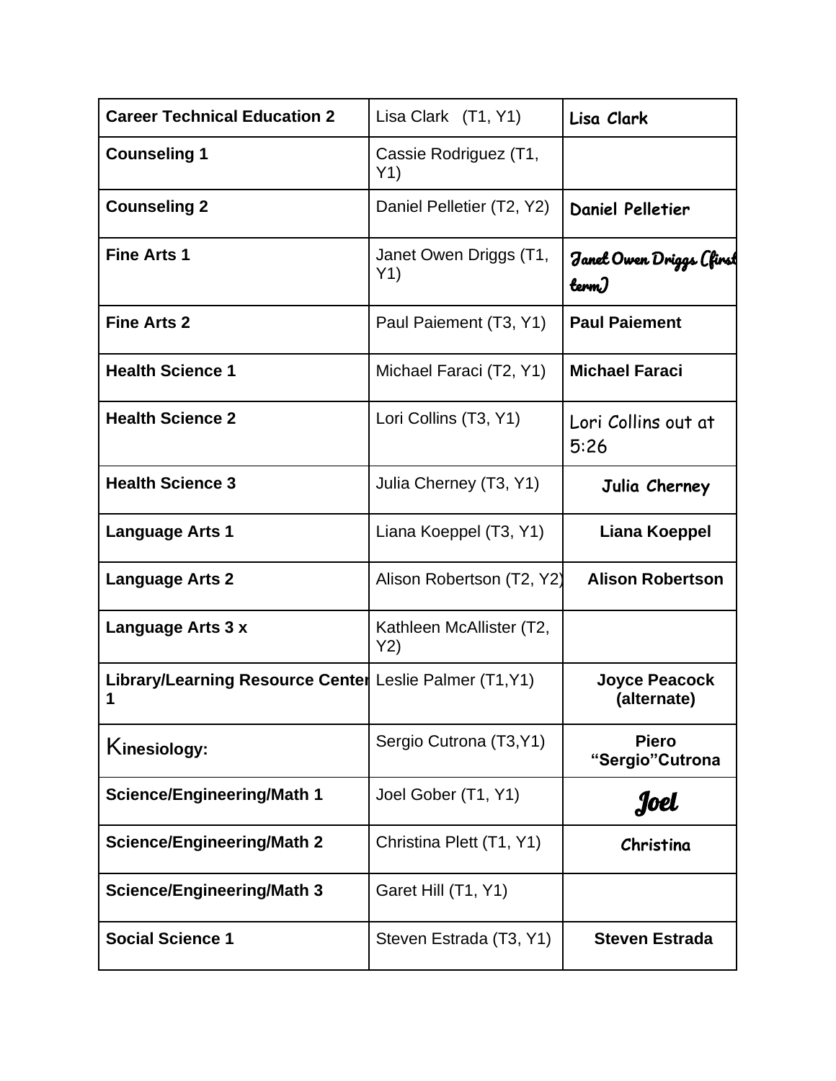| <b>Career Technical Education 2</b>                          | Lisa Clark (T1, Y1)             | Lisa Clark                          |
|--------------------------------------------------------------|---------------------------------|-------------------------------------|
| <b>Counseling 1</b>                                          | Cassie Rodriguez (T1,<br>Y1)    |                                     |
| <b>Counseling 2</b>                                          | Daniel Pelletier (T2, Y2)       | <b>Daniel Pelletier</b>             |
| <b>Fine Arts 1</b>                                           | Janet Owen Driggs (T1,<br>Y1)   | Janel Owen Driggs (first<br>term)   |
| <b>Fine Arts 2</b>                                           | Paul Paiement (T3, Y1)          | <b>Paul Paiement</b>                |
| <b>Health Science 1</b>                                      | Michael Faraci (T2, Y1)         | <b>Michael Faraci</b>               |
| <b>Health Science 2</b>                                      | Lori Collins (T3, Y1)           | Lori Collins out at<br>5:26         |
| <b>Health Science 3</b>                                      | Julia Cherney (T3, Y1)          | Julia Cherney                       |
| <b>Language Arts 1</b>                                       | Liana Koeppel (T3, Y1)          | Liana Koeppel                       |
| <b>Language Arts 2</b>                                       | Alison Robertson (T2, Y2)       | <b>Alison Robertson</b>             |
| Language Arts 3 x                                            | Kathleen McAllister (T2,<br>Y2) |                                     |
| Library/Learning Resource Center Leslie Palmer (T1, Y1)<br>1 |                                 | <b>Joyce Peacock</b><br>(alternate) |
| Kinesiology:                                                 | Sergio Cutrona (T3, Y1)         | <b>Piero</b><br>"Sergio" Cutrona    |
| <b>Science/Engineering/Math 1</b>                            | Joel Gober (T1, Y1)             | Joel                                |
| <b>Science/Engineering/Math 2</b>                            | Christina Plett (T1, Y1)        | Christina                           |
| <b>Science/Engineering/Math 3</b>                            | Garet Hill (T1, Y1)             |                                     |
| <b>Social Science 1</b>                                      | Steven Estrada (T3, Y1)         | <b>Steven Estrada</b>               |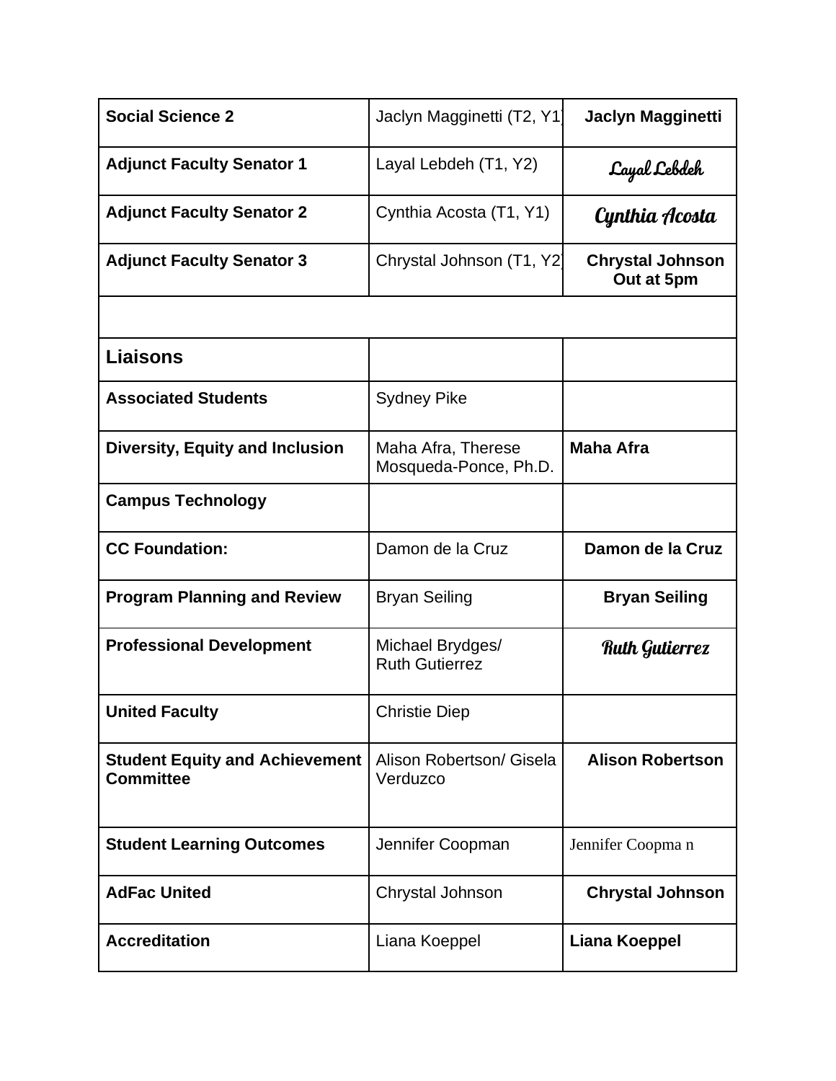| <b>Social Science 2</b>                                   | Jaclyn Magginetti (T2, Y1                   | <b>Jaclyn Magginetti</b>              |
|-----------------------------------------------------------|---------------------------------------------|---------------------------------------|
| <b>Adjunct Faculty Senator 1</b>                          | Layal Lebdeh (T1, Y2)                       | Layal Lebdeh                          |
| <b>Adjunct Faculty Senator 2</b>                          | Cynthia Acosta (T1, Y1)                     | Cynthia Acosta                        |
| <b>Adjunct Faculty Senator 3</b>                          | Chrystal Johnson (T1, Y2)                   | <b>Chrystal Johnson</b><br>Out at 5pm |
|                                                           |                                             |                                       |
| Liaisons                                                  |                                             |                                       |
| <b>Associated Students</b>                                | <b>Sydney Pike</b>                          |                                       |
| <b>Diversity, Equity and Inclusion</b>                    | Maha Afra, Therese<br>Mosqueda-Ponce, Ph.D. | <b>Maha Afra</b>                      |
| <b>Campus Technology</b>                                  |                                             |                                       |
|                                                           | Damon de la Cruz                            | Damon de la Cruz                      |
| <b>CC Foundation:</b>                                     |                                             |                                       |
| <b>Program Planning and Review</b>                        | <b>Bryan Seiling</b>                        | <b>Bryan Seiling</b>                  |
| <b>Professional Development</b>                           | Michael Brydges/<br><b>Ruth Gutierrez</b>   | <b>Ruth Gutierrez</b>                 |
| <b>United Faculty</b>                                     | <b>Christie Diep</b>                        |                                       |
| <b>Student Equity and Achievement</b><br><b>Committee</b> | Alison Robertson/ Gisela<br>Verduzco        | <b>Alison Robertson</b>               |
| <b>Student Learning Outcomes</b>                          | Jennifer Coopman                            | Jennifer Coopman                      |
| <b>AdFac United</b>                                       | Chrystal Johnson                            | <b>Chrystal Johnson</b>               |